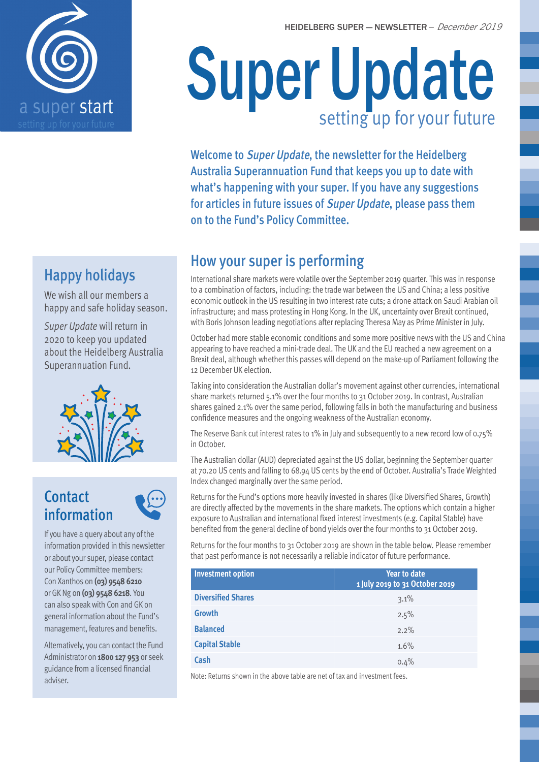

## Happy holidays

We wish all our members a happy and safe holiday season.

*Super Update* will return in 2020 to keep you updated about the Heidelberg Australia Superannuation Fund.



## **Contact** information



If you have a query about any of the information provided in this newsletter or about your super, please contact our Policy Committee members: Con Xanthos on **(03) 9548 6210**  or GK Ng on **(03) 9548 6218**. You can also speak with Con and GK on general information about the Fund's management, features and benefits.

Alternatively, you can contact the Fund Administrator on **1800 127 953** or seek guidance from a licensed financial adviser.

# Super Update setting up for your future

Welcome to Super Update, the newsletter for the Heidelberg Australia Superannuation Fund that keeps you up to date with what's happening with your super. If you have any suggestions for articles in future issues of Super Update, please pass them on to the Fund's Policy Committee.

### How your super is performing

International share markets were volatile over the September 2019 quarter. This was in response to a combination of factors, including: the trade war between the US and China; a less positive economic outlook in the US resulting in two interest rate cuts; a drone attack on Saudi Arabian oil infrastructure; and mass protesting in Hong Kong. In the UK, uncertainty over Brexit continued, with Boris Johnson leading negotiations after replacing Theresa May as Prime Minister in July.

October had more stable economic conditions and some more positive news with the US and China appearing to have reached a mini-trade deal. The UK and the EU reached a new agreement on a Brexit deal, although whether this passes will depend on the make-up of Parliament following the 12 December UK election.

Taking into consideration the Australian dollar's movement against other currencies, international share markets returned 5.1% over the four months to 31 October 2019. In contrast, Australian shares gained 2.1% over the same period, following falls in both the manufacturing and business confidence measures and the ongoing weakness of the Australian economy.

The Reserve Bank cut interest rates to 1% in July and subsequently to a new record low of 0.75% in October.

The Australian dollar (AUD) depreciated against the US dollar, beginning the September quarter at 70.20 US cents and falling to 68.94 US cents by the end of October. Australia's Trade Weighted Index changed marginally over the same period.

Returns for the Fund's options more heavily invested in shares (like Diversified Shares, Growth) are directly affected by the movements in the share markets. The options which contain a higher exposure to Australian and international fixed interest investments (e.g. Capital Stable) have benefited from the general decline of bond yields over the four months to 31 October 2019.

Returns for the four months to 31 October 2019 are shown in the table below. Please remember that past performance is not necessarily a reliable indicator of future performance.

| <b>Investment option</b>  | <b>Year to date</b><br>1 July 2019 to 31 October 2019 |  |
|---------------------------|-------------------------------------------------------|--|
| <b>Diversified Shares</b> | 3.1%                                                  |  |
| <b>Growth</b>             | 2.5%                                                  |  |
| <b>Balanced</b>           | 2.2%                                                  |  |
| <b>Capital Stable</b>     | 1.6%                                                  |  |
| <b>Cash</b>               | 0.4%                                                  |  |

Note: Returns shown in the above table are net of tax and investment fees.